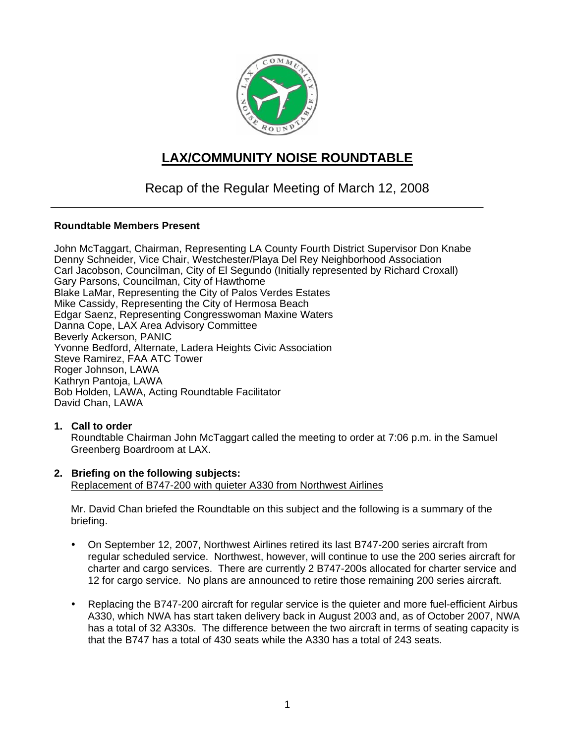

# **LAX/COMMUNITY NOISE ROUNDTABLE**

# Recap of the Regular Meeting of March 12, 2008

### **Roundtable Members Present**

John McTaggart, Chairman, Representing LA County Fourth District Supervisor Don Knabe Denny Schneider, Vice Chair, Westchester/Playa Del Rey Neighborhood Association Carl Jacobson, Councilman, City of El Segundo (Initially represented by Richard Croxall) Gary Parsons, Councilman, City of Hawthorne Blake LaMar, Representing the City of Palos Verdes Estates Mike Cassidy, Representing the City of Hermosa Beach Edgar Saenz, Representing Congresswoman Maxine Waters Danna Cope, LAX Area Advisory Committee Beverly Ackerson, PANIC Yvonne Bedford, Alternate, Ladera Heights Civic Association Steve Ramirez, FAA ATC Tower Roger Johnson, LAWA Kathryn Pantoja, LAWA Bob Holden, LAWA, Acting Roundtable Facilitator David Chan, LAWA

### **1. Call to order**

Roundtable Chairman John McTaggart called the meeting to order at 7:06 p.m. in the Samuel Greenberg Boardroom at LAX.

#### **2. Briefing on the following subjects:**  Replacement of B747-200 with quieter A330 from Northwest Airlines

Mr. David Chan briefed the Roundtable on this subject and the following is a summary of the briefing.

- On September 12, 2007, Northwest Airlines retired its last B747-200 series aircraft from regular scheduled service. Northwest, however, will continue to use the 200 series aircraft for charter and cargo services. There are currently 2 B747-200s allocated for charter service and 12 for cargo service. No plans are announced to retire those remaining 200 series aircraft.
- Replacing the B747-200 aircraft for regular service is the quieter and more fuel-efficient Airbus A330, which NWA has start taken delivery back in August 2003 and, as of October 2007, NWA has a total of 32 A330s. The difference between the two aircraft in terms of seating capacity is that the B747 has a total of 430 seats while the A330 has a total of 243 seats.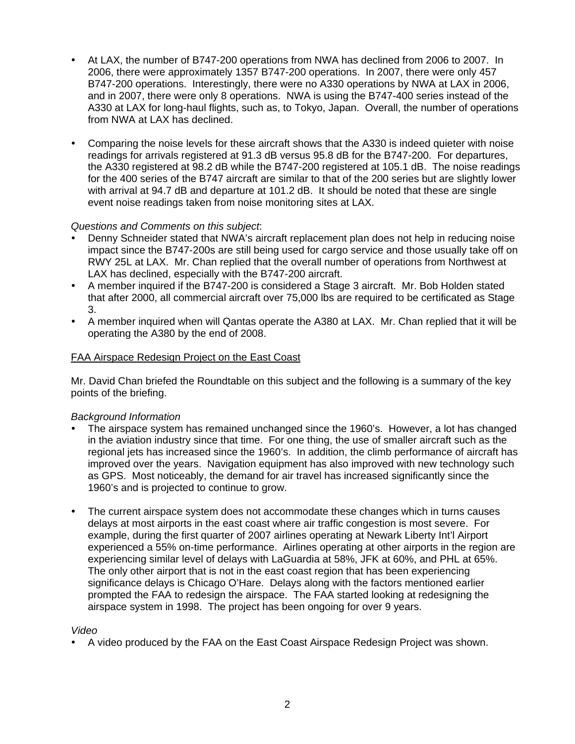- At LAX, the number of B747-200 operations from NWA has declined from 2006 to 2007. In 2006, there were approximately 1357 B747-200 operations. In 2007, there were only 457 B747-200 operations. Interestingly, there were no A330 operations by NWA at LAX in 2006, and in 2007, there were only 8 operations. NWA is using the B747-400 series instead of the A330 at LAX for long-haul flights, such as, to Tokyo, Japan. Overall, the number of operations from NWA at LAX has declined.
- Comparing the noise levels for these aircraft shows that the A330 is indeed quieter with noise readings for arrivals registered at 91.3 dB versus 95.8 dB for the B747-200. For departures, the A330 registered at 98.2 dB while the B747-200 registered at 105.1 dB. The noise readings for the 400 series of the B747 aircraft are similar to that of the 200 series but are slightly lower with arrival at 94.7 dB and departure at 101.2 dB. It should be noted that these are single event noise readings taken from noise monitoring sites at LAX.

### *Questions and Comments on this subject*:

- Denny Schneider stated that NWA's aircraft replacement plan does not help in reducing noise impact since the B747-200s are still being used for cargo service and those usually take off on RWY 25L at LAX. Mr. Chan replied that the overall number of operations from Northwest at LAX has declined, especially with the B747-200 aircraft.
- A member inquired if the B747-200 is considered a Stage 3 aircraft. Mr. Bob Holden stated that after 2000, all commercial aircraft over 75,000 lbs are required to be certificated as Stage 3.
- A member inquired when will Qantas operate the A380 at LAX. Mr. Chan replied that it will be operating the A380 by the end of 2008.

# FAA Airspace Redesign Project on the East Coast

Mr. David Chan briefed the Roundtable on this subject and the following is a summary of the key points of the briefing.

### *Background Information*

- The airspace system has remained unchanged since the 1960's. However, a lot has changed in the aviation industry since that time. For one thing, the use of smaller aircraft such as the regional jets has increased since the 1960's. In addition, the climb performance of aircraft has improved over the years. Navigation equipment has also improved with new technology such as GPS. Most noticeably, the demand for air travel has increased significantly since the 1960's and is projected to continue to grow.
- The current airspace system does not accommodate these changes which in turns causes delays at most airports in the east coast where air traffic congestion is most severe. For example, during the first quarter of 2007 airlines operating at Newark Liberty Int'l Airport experienced a 55% on-time performance. Airlines operating at other airports in the region are experiencing similar level of delays with LaGuardia at 58%, JFK at 60%, and PHL at 65%. The only other airport that is not in the east coast region that has been experiencing significance delays is Chicago O'Hare. Delays along with the factors mentioned earlier prompted the FAA to redesign the airspace. The FAA started looking at redesigning the airspace system in 1998. The project has been ongoing for over 9 years.

### *Video*

• A video produced by the FAA on the East Coast Airspace Redesign Project was shown.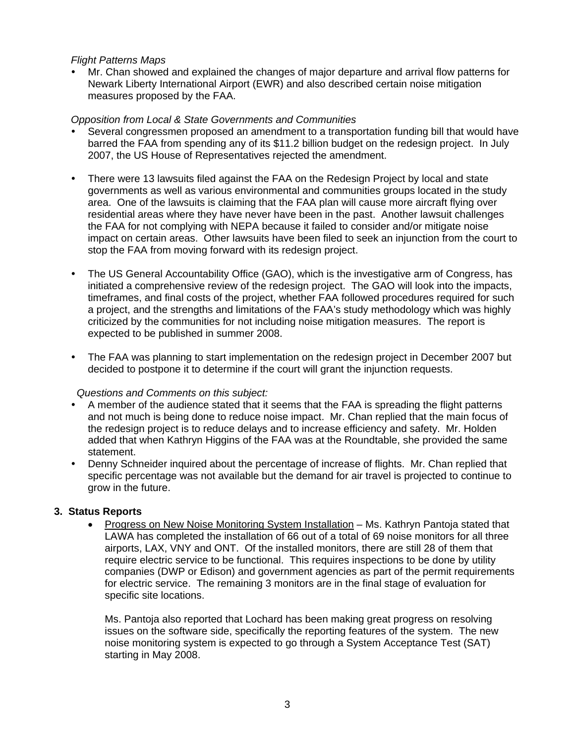#### *Flight Patterns Maps*

• Mr. Chan showed and explained the changes of major departure and arrival flow patterns for Newark Liberty International Airport (EWR) and also described certain noise mitigation measures proposed by the FAA.

#### *Opposition from Local & State Governments and Communities*

- Several congressmen proposed an amendment to a transportation funding bill that would have barred the FAA from spending any of its \$11.2 billion budget on the redesign project. In July 2007, the US House of Representatives rejected the amendment.
- There were 13 lawsuits filed against the FAA on the Redesign Project by local and state governments as well as various environmental and communities groups located in the study area. One of the lawsuits is claiming that the FAA plan will cause more aircraft flying over residential areas where they have never have been in the past. Another lawsuit challenges the FAA for not complying with NEPA because it failed to consider and/or mitigate noise impact on certain areas. Other lawsuits have been filed to seek an injunction from the court to stop the FAA from moving forward with its redesign project.
- The US General Accountability Office (GAO), which is the investigative arm of Congress, has initiated a comprehensive review of the redesign project. The GAO will look into the impacts, timeframes, and final costs of the project, whether FAA followed procedures required for such a project, and the strengths and limitations of the FAA's study methodology which was highly criticized by the communities for not including noise mitigation measures. The report is expected to be published in summer 2008.
- The FAA was planning to start implementation on the redesign project in December 2007 but decided to postpone it to determine if the court will grant the injunction requests.

### *Questions and Comments on this subject:*

- A member of the audience stated that it seems that the FAA is spreading the flight patterns and not much is being done to reduce noise impact. Mr. Chan replied that the main focus of the redesign project is to reduce delays and to increase efficiency and safety. Mr. Holden added that when Kathryn Higgins of the FAA was at the Roundtable, she provided the same statement.
- Denny Schneider inquired about the percentage of increase of flights. Mr. Chan replied that specific percentage was not available but the demand for air travel is projected to continue to grow in the future.

### **3. Status Reports**

• Progress on New Noise Monitoring System Installation – Ms. Kathryn Pantoja stated that LAWA has completed the installation of 66 out of a total of 69 noise monitors for all three airports, LAX, VNY and ONT. Of the installed monitors, there are still 28 of them that require electric service to be functional. This requires inspections to be done by utility companies (DWP or Edison) and government agencies as part of the permit requirements for electric service. The remaining 3 monitors are in the final stage of evaluation for specific site locations.

Ms. Pantoja also reported that Lochard has been making great progress on resolving issues on the software side, specifically the reporting features of the system. The new noise monitoring system is expected to go through a System Acceptance Test (SAT) starting in May 2008.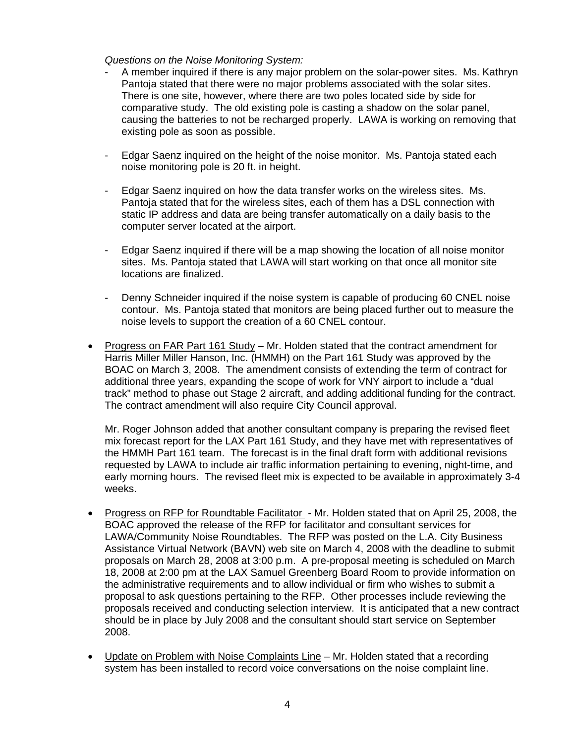*Questions on the Noise Monitoring System:* 

- A member inquired if there is any major problem on the solar-power sites. Ms. Kathryn Pantoja stated that there were no major problems associated with the solar sites. There is one site, however, where there are two poles located side by side for comparative study. The old existing pole is casting a shadow on the solar panel, causing the batteries to not be recharged properly. LAWA is working on removing that existing pole as soon as possible.
- Edgar Saenz inquired on the height of the noise monitor. Ms. Pantoja stated each noise monitoring pole is 20 ft. in height.
- Edgar Saenz inquired on how the data transfer works on the wireless sites. Ms. Pantoja stated that for the wireless sites, each of them has a DSL connection with static IP address and data are being transfer automatically on a daily basis to the computer server located at the airport.
- Edgar Saenz inquired if there will be a map showing the location of all noise monitor sites. Ms. Pantoja stated that LAWA will start working on that once all monitor site locations are finalized.
- Denny Schneider inquired if the noise system is capable of producing 60 CNEL noise contour. Ms. Pantoja stated that monitors are being placed further out to measure the noise levels to support the creation of a 60 CNEL contour.
- Progress on FAR Part 161 Study Mr. Holden stated that the contract amendment for Harris Miller Miller Hanson, Inc. (HMMH) on the Part 161 Study was approved by the BOAC on March 3, 2008. The amendment consists of extending the term of contract for additional three years, expanding the scope of work for VNY airport to include a "dual track" method to phase out Stage 2 aircraft, and adding additional funding for the contract. The contract amendment will also require City Council approval.

Mr. Roger Johnson added that another consultant company is preparing the revised fleet mix forecast report for the LAX Part 161 Study, and they have met with representatives of the HMMH Part 161 team. The forecast is in the final draft form with additional revisions requested by LAWA to include air traffic information pertaining to evening, night-time, and early morning hours. The revised fleet mix is expected to be available in approximately 3-4 weeks.

- Progress on RFP for Roundtable Facilitator Mr. Holden stated that on April 25, 2008, the BOAC approved the release of the RFP for facilitator and consultant services for LAWA/Community Noise Roundtables. The RFP was posted on the L.A. City Business Assistance Virtual Network (BAVN) web site on March 4, 2008 with the deadline to submit proposals on March 28, 2008 at 3:00 p.m. A pre-proposal meeting is scheduled on March 18, 2008 at 2:00 pm at the LAX Samuel Greenberg Board Room to provide information on the administrative requirements and to allow individual or firm who wishes to submit a proposal to ask questions pertaining to the RFP. Other processes include reviewing the proposals received and conducting selection interview. It is anticipated that a new contract should be in place by July 2008 and the consultant should start service on September 2008.
- Update on Problem with Noise Complaints Line Mr. Holden stated that a recording system has been installed to record voice conversations on the noise complaint line.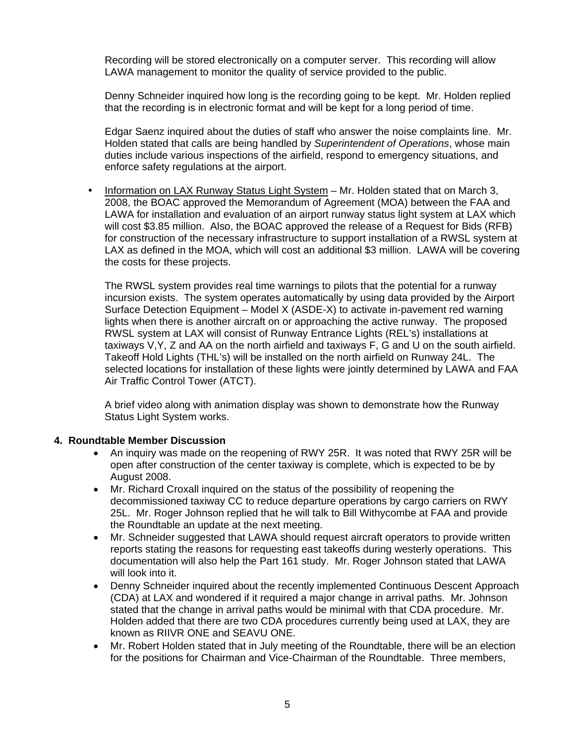Recording will be stored electronically on a computer server. This recording will allow LAWA management to monitor the quality of service provided to the public.

Denny Schneider inquired how long is the recording going to be kept. Mr. Holden replied that the recording is in electronic format and will be kept for a long period of time.

Edgar Saenz inquired about the duties of staff who answer the noise complaints line. Mr. Holden stated that calls are being handled by *Superintendent of Operations*, whose main duties include various inspections of the airfield, respond to emergency situations, and enforce safety regulations at the airport.

• Information on LAX Runway Status Light System – Mr. Holden stated that on March 3, 2008, the BOAC approved the Memorandum of Agreement (MOA) between the FAA and LAWA for installation and evaluation of an airport runway status light system at LAX which will cost \$3.85 million. Also, the BOAC approved the release of a Request for Bids (RFB) for construction of the necessary infrastructure to support installation of a RWSL system at LAX as defined in the MOA, which will cost an additional \$3 million. LAWA will be covering the costs for these projects.

The RWSL system provides real time warnings to pilots that the potential for a runway incursion exists. The system operates automatically by using data provided by the Airport Surface Detection Equipment – Model X (ASDE-X) to activate in-pavement red warning lights when there is another aircraft on or approaching the active runway. The proposed RWSL system at LAX will consist of Runway Entrance Lights (REL's) installations at taxiways V,Y, Z and AA on the north airfield and taxiways F, G and U on the south airfield. Takeoff Hold Lights (THL's) will be installed on the north airfield on Runway 24L. The selected locations for installation of these lights were jointly determined by LAWA and FAA Air Traffic Control Tower (ATCT).

A brief video along with animation display was shown to demonstrate how the Runway Status Light System works.

### **4. Roundtable Member Discussion**

- An inquiry was made on the reopening of RWY 25R. It was noted that RWY 25R will be open after construction of the center taxiway is complete, which is expected to be by August 2008.
- Mr. Richard Croxall inquired on the status of the possibility of reopening the decommissioned taxiway CC to reduce departure operations by cargo carriers on RWY 25L. Mr. Roger Johnson replied that he will talk to Bill Withycombe at FAA and provide the Roundtable an update at the next meeting.
- Mr. Schneider suggested that LAWA should request aircraft operators to provide written reports stating the reasons for requesting east takeoffs during westerly operations. This documentation will also help the Part 161 study. Mr. Roger Johnson stated that LAWA will look into it.
- Denny Schneider inquired about the recently implemented Continuous Descent Approach (CDA) at LAX and wondered if it required a major change in arrival paths. Mr. Johnson stated that the change in arrival paths would be minimal with that CDA procedure. Mr. Holden added that there are two CDA procedures currently being used at LAX, they are known as RIIVR ONE and SEAVU ONE.
- Mr. Robert Holden stated that in July meeting of the Roundtable, there will be an election for the positions for Chairman and Vice-Chairman of the Roundtable. Three members,